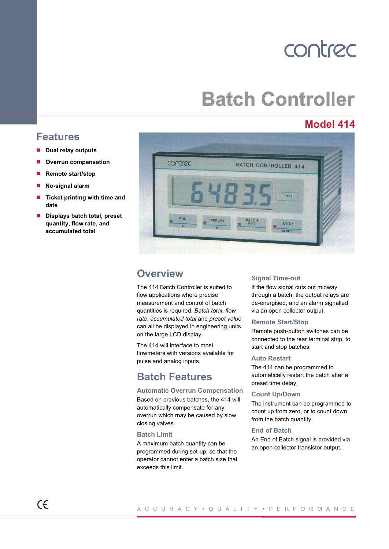## contrec

# **Batch Controller**

## **Model 414**



## **Overview**

The 414 Batch Controller is suited to flow applications where precise measurement and control of batch quantities is required. *Batch total*, *flow rat*e, *accumulated total* and *preset value* can all be displayed in engineering units on the large LCD display.

The 414 will interface to most flowmeters with versions available for pulse and analog inputs.

## **Batch Features**

### **Automatic Overrun Compensation**

Based on previous batches, the 414 will automatically compensate for any overrun which may be caused by slow closing valves.

#### **Batch Limit**

A maximum batch quantity can be programmed during set-up, so that the operator cannot enter a batch size that exceeds this limit.

#### **Signal Time-out**

If the flow signal cuts out midway through a batch, the output relays are de-energised, and an alarm signalled via an open collector output.

#### **Remote Start/Stop**

Remote push-button switches can be connected to the rear terminal strip, to start and stop batches.

#### **Auto Restart**

The 414 can be programmed to automatically restart the batch after a preset time delay.

#### **Count Up/Down**

The instrument can be programmed to count up from zero, or to count down from the batch quantity.

#### **End of Batch**

An End of Batch signal is provided via an open collector transistor output.

## **Features**

- **Dual relay outputs**
- **Overrun compensation** y
- **Remote start/stop** y
- **No-signal alarm**  $\blacksquare$
- **Ticket printing with time and date** y
- **Displays batch total, preset quantity, flow rate, and accumulated total y**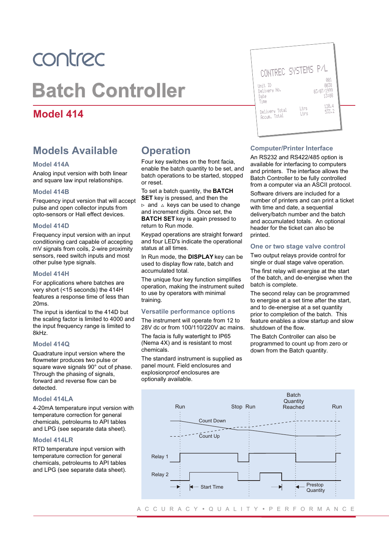# contrec **Batch Controller**

## **Model 414**

## **Models Available**

#### **Model 414A**

Analog input version with both linear and square law input relationships.

#### **Model 414B**

Frequency input version that will accept pulse and open collector inputs from opto-sensors or Hall effect devices.

#### **Model 414D**

Frequency input version with an input conditioning card capable of accepting mV signals from coils, 2-wire proximity sensors, reed switch inputs and most other pulse type signals.

#### **Model 414H**

For applications where batches are very short (<15 seconds) the 414H features a response time of less than 20ms.

The input is identical to the 414D but the scaling factor is limited to 4000 and the input frequency range is limited to 8kHz.

#### **Model 414Q**

Quadrature input version where the flowmeter produces two pulse or square wave signals 90° out of phase. Through the phasing of signals, forward and reverse flow can be detected.

#### **Model 414LA**

4-20mA temperature input version with temperature correction for general chemicals, petroleums to API tables and LPG (see separate data sheet).

#### **Model 414LR**

RTD temperature input version with temperature correction for general chemicals, petroleums to API tables and LPG (see separate data sheet).

## **Operation**

Four key switches on the front facia, enable the batch quantity to be set, and batch operations to be started, stopped or reset.

To set a batch quantity, the **BATCH SET** key is pressed, and then the  $\triangleright$  and  $\stackrel{\frown}{\triangle}$  keys can be used to change and increment digits. Once set, the **BATCH SET** key is again pressed to return to Run mode.

Keypad operations are straight forward and four LED's indicate the operational status at all times.

In Run mode, the **DISPLAY** key can be used to display flow rate, batch and accumulated total.

The unique four key function simplifies operation, making the instrument suited to use by operators with minimal training.

#### **Versatile performance options**

The instrument will operate from 12 to 28V dc or from 100/110/220V ac mains.

The facia is fully watertight to IP65 (Nema 4X) and is resistant to most chemicals.

The standard instrument is supplied as panel mount. Field enclosures and explosionproof enclosures are optionally available.



#### **Computer/Printer Interface**

An RS232 and RS422/485 option is available for interfacing to computers and printers. The interface allows the Batch Controller to be fully controlled from a computer via an ASCII protocol. Software drivers are included for a number of printers and can print a ticket with time and date, a sequential delivery/batch number and the batch and accumulated totals. An optional header for the ticket can also be printed.

#### **One or two stage valve control**

Two output relays provide control for single or dual stage valve operation.

The first relay will energise at the start of the batch, and de-energise when the batch is complete.

The second relay can be programmed to energise at a set time after the start, and to de-energise at a set quantity prior to completion of the batch. This feature enables a slow startup and slow shutdown of the flow.

The Batch Controller can also be programmed to count up from zero or down from the Batch quantity.

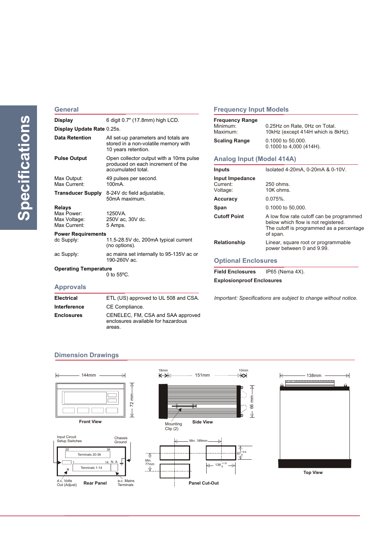#### **General**

| Display                                              | 6 digit 0.7" (17.8mm) high LCD.                                                                     |
|------------------------------------------------------|-----------------------------------------------------------------------------------------------------|
| Display Update Rate 0.25s.                           |                                                                                                     |
| Data Retention                                       | All set-up parameters and totals are<br>stored in a non-volatile memory with<br>10 years retention. |
| Pulse Output                                         | Open collector output with a 10ms pulse<br>produced on each increment of the<br>accumulated total.  |
| Max Output:<br>Max Current:                          | 49 pulses per second.<br>100 <sub>m</sub> A.                                                        |
| Transducer Supply                                    | 8-24V dc field adjustable,<br>50mA maximum.                                                         |
| Relays<br>Max Power:<br>Max Voltage:<br>Max Current: | 1250VA.<br>250V ac, 30V dc.<br>5 Amps.                                                              |
| <b>Power Requirements</b>                            |                                                                                                     |
| dc Supply:                                           | 11.5-28.5V dc, 200mA typical current<br>(no options).                                               |
| ac Supply:                                           | ac mains set internally to 95-135V ac or<br>190-260V ac.                                            |
|                                                      |                                                                                                     |

0 to 55ºC.

areas.

**Electrical** ETL (US) approved to UL 508 and CSA.

**Enclosures** CENELEC, FM, CSA and SAA approved

enclosures available for hazardous

### **Frequency Input Models**

| <b>Frequency Range</b><br>Minimum:<br>Maximum:<br><b>Scaling Range</b> | 0.25Hz on Rate, 0Hz on Total.<br>10kHz (except 414H which is 8kHz).<br>0.1000 to 50,000.<br>$0.1000$ to 4,000 (414H).                   |  |  |  |  |  |  |
|------------------------------------------------------------------------|-----------------------------------------------------------------------------------------------------------------------------------------|--|--|--|--|--|--|
| Analog Input (Model 414A)                                              |                                                                                                                                         |  |  |  |  |  |  |
| Inputs                                                                 | Isolated 4-20mA, 0-20mA & 0-10V.                                                                                                        |  |  |  |  |  |  |
| Input Impedance<br>Current:<br>Voltage:                                | 250 ohms.<br>$10K$ ohms.                                                                                                                |  |  |  |  |  |  |
| <b>Accuracy</b>                                                        | $0.075%$ .                                                                                                                              |  |  |  |  |  |  |
| Span                                                                   | 0.1000 to 50,000.                                                                                                                       |  |  |  |  |  |  |
| <b>Cutoff Point</b>                                                    | A low flow rate cutoff can be programmed<br>below which flow is not registered.<br>The cutoff is programmed as a percentage<br>of span. |  |  |  |  |  |  |
| <b>Relationship</b>                                                    | Linear, square root or programmable<br>power between 0 and 9.99.                                                                        |  |  |  |  |  |  |

#### **Optional Enclosures**

**Field Enclosures** IP65 (Nema 4X).

**Explosionproof Enclosures**

*Important: Specifications are subject to change without notice*.

#### **Dimension Drawings**

**Interference** CE Compliance.



**Approvals**

**Operating Temperature**